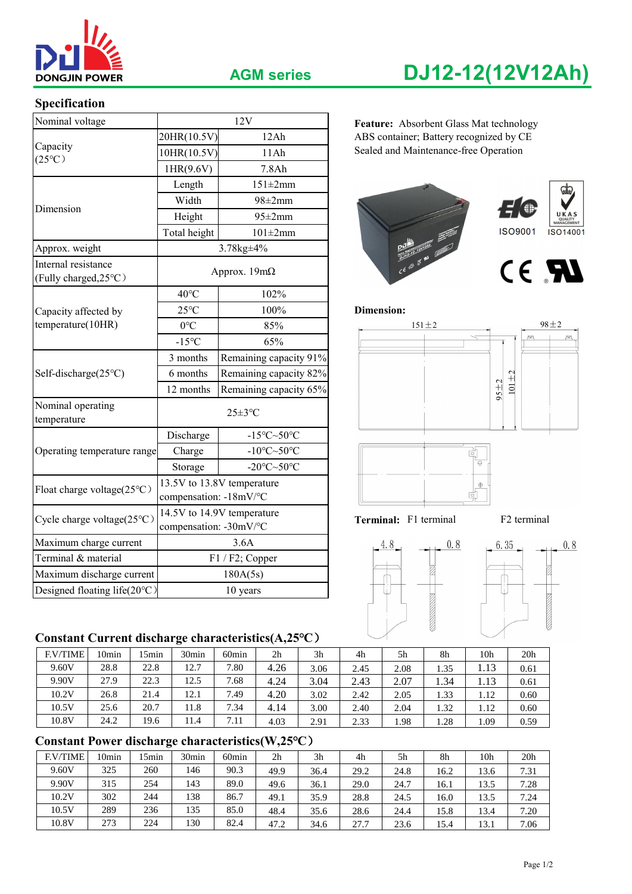

### **Specification**

| <b>DONGJIN POWER</b>                         |                        | <b>AGM series</b>                                                                                                                               | DJ12-12(12V12Ah)                        |  |  |  |  |  |
|----------------------------------------------|------------------------|-------------------------------------------------------------------------------------------------------------------------------------------------|-----------------------------------------|--|--|--|--|--|
| Specification                                |                        |                                                                                                                                                 |                                         |  |  |  |  |  |
| Nominal voltage                              |                        | 12V                                                                                                                                             | Feature: Absorbent Glass Mat technology |  |  |  |  |  |
|                                              | 20HR(10.5V)            | 12Ah                                                                                                                                            | ABS container; Battery recognized by CE |  |  |  |  |  |
| Capacity<br>$(25^{\circ}C)$                  | 10HR(10.5V)<br>11Ah    |                                                                                                                                                 | Sealed and Maintenance-free Operation   |  |  |  |  |  |
|                                              | 1HR(9.6V)              | 7.8Ah                                                                                                                                           |                                         |  |  |  |  |  |
| Dimension                                    | Length                 | $151 \pm 2mm$                                                                                                                                   |                                         |  |  |  |  |  |
|                                              | Width                  | $98 \pm 2$ mm                                                                                                                                   |                                         |  |  |  |  |  |
|                                              | Height                 | $95 \pm 2$ mm                                                                                                                                   | UKAS<br>QUALITY<br>MANAGEMENT           |  |  |  |  |  |
|                                              | Total height           | $101\pm2mm$                                                                                                                                     | <b>ISO9001</b><br>ISO14001              |  |  |  |  |  |
| Approx. weight                               |                        |                                                                                                                                                 |                                         |  |  |  |  |  |
| Internal resistance<br>(Fully charged, 25°C) |                        |                                                                                                                                                 | CE RI                                   |  |  |  |  |  |
|                                              | $40^{\circ}$ C         | 102%                                                                                                                                            |                                         |  |  |  |  |  |
| Capacity affected by                         | $25^{\circ}$ C         | 100%                                                                                                                                            | Dimension:                              |  |  |  |  |  |
| temperature(10HR)                            | $0^{\circ}C$           | 85%                                                                                                                                             | $98 \pm 2$<br>$151 \pm 2$               |  |  |  |  |  |
|                                              | $-15^{\circ}C$         | 65%                                                                                                                                             | $101 + 2$                               |  |  |  |  |  |
|                                              | 3 months               | Remaining capacity 91%                                                                                                                          |                                         |  |  |  |  |  |
| Self-discharge(25°C)                         | 6 months               | 3.78kg±4%<br>Approx. $19m\Omega$<br>Remaining capacity 82%<br>Remaining capacity 65%<br>$25 \pm 3$ °C<br>$-15^{\circ}$ C $\sim$ 50 $^{\circ}$ C |                                         |  |  |  |  |  |
|                                              | 12 months              |                                                                                                                                                 | $95 + 2$                                |  |  |  |  |  |
| Nominal operating<br>temperature             |                        |                                                                                                                                                 |                                         |  |  |  |  |  |
|                                              | Discharge              |                                                                                                                                                 |                                         |  |  |  |  |  |
| Operating temperature range                  | Charge                 | -10 $\textdegree$ C $\sim$ 50 $\textdegree$ C                                                                                                   | ď                                       |  |  |  |  |  |
|                                              | Storage                | -20 $\textdegree$ C $\sim$ 50 $\textdegree$ C                                                                                                   | $\ominus$                               |  |  |  |  |  |
| Float charge voltage(25°C)                   | compensation: -18mV/°C | 13.5V to 13.8V temperature                                                                                                                      | $\oplus$<br>튀                           |  |  |  |  |  |
| Cycle charge voltage(25°C)                   | compensation: -30mV/°C | 14.5V to 14.9V temperature                                                                                                                      | Terminal: F1 terminal<br>F2 terminal    |  |  |  |  |  |
| Maximum charge current                       |                        | 3.6A                                                                                                                                            | $-4.8$<br>0.8<br>6.35<br>0.8            |  |  |  |  |  |
| Terminal & material                          |                        | F1 / F2; Copper                                                                                                                                 |                                         |  |  |  |  |  |
| Maximum discharge current                    |                        | 180A(5s)                                                                                                                                        |                                         |  |  |  |  |  |
| Designed floating life(20°C)                 |                        | 10 years                                                                                                                                        |                                         |  |  |  |  |  |

# **Constant Current discharge characteristics(A,25℃**)

| <b>F.V/TIME</b> | 0min | 5min | 30 <sub>min</sub> | 60 <sub>min</sub> | 2 <sub>h</sub> | 3 <sub>h</sub> | 4h   | 5 <sub>h</sub> | 8h   | 10 <sub>h</sub> | 20 <sub>h</sub> |
|-----------------|------|------|-------------------|-------------------|----------------|----------------|------|----------------|------|-----------------|-----------------|
| 9.60V           | 28.8 | 22.8 | 12.7              | 7.80              | 4.26           | 3.06           | 2.45 | 2.08           | 1.35 | 1.13            | 0.61            |
| 9.90V           | 27.9 | 22.3 | 12.5              | 7.68              | 4.24           | 3.04           | 2.43 | 2.07           | 1.34 | 1.13            | 0.61            |
| 10.2V           | 26.8 | 21.4 | 12.1              | 7.49              | 4.20           | 3.02           | 2.42 | 2.05           | 1.33 | 1.12            | 0.60            |
| 10.5V           | 25.6 | 20.7 | 11.8              | 7.34              | 4.14           | 3.00           | 2.40 | 2.04           | 1.32 | 1.12            | 0.60            |
| 10.8V           | 24.2 | 19.6 | 11.4              | 7.11              | 4.03           | 2.91           | 2.33 | 1.98           | 1.28 | 1.09            | 0.59            |

# **Constant Power discharge characteristics(W,25℃**)

| <b>F.V/TIME</b> | 10min | 5 <sub>min</sub> | 30 <sub>min</sub> | 60 <sub>min</sub> | 2 <sub>h</sub> | 3h   | 4h   | 5h   | 8h   | 10h  | 20 <sub>h</sub> |
|-----------------|-------|------------------|-------------------|-------------------|----------------|------|------|------|------|------|-----------------|
| 9.60V           | 325   | 260              | 146               | 90.3              | 49.9           | 36.4 | 29.2 | 24.8 | 16.2 | 13.6 | 7.31            |
| 9.90V           | 315   | 254              | 143               | 89.0              | 49.6           | 36.1 | 29.0 | 24.7 | 16.1 | 13.5 | 7.28            |
| 10.2V           | 302   | 244              | 138               | 86.7              | 49.1           | 35.9 | 28.8 | 24.5 | 16.0 | 13.5 | 7.24            |
| 10.5V           | 289   | 236              | 135               | 85.0              | 48.4           | 35.6 | 28.6 | 24.4 | 15.8 | 13.4 | 7.20            |
| 10.8V           | 273   | 224              | 130               | 82.4              | 47.2           | 34.6 | 27.7 | 23.6 | 15.4 | 13.1 | 7.06            |

# **AGM series DJ12-12(12V12Ah)**